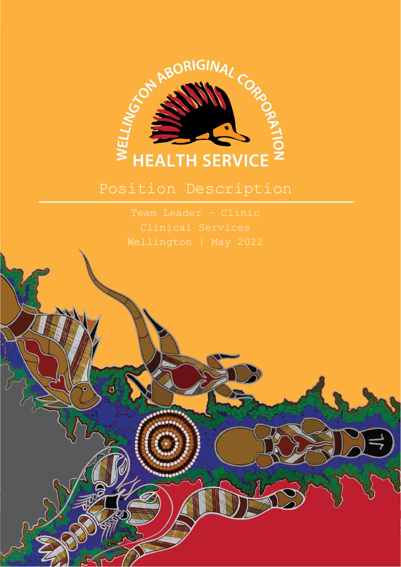

# Position Description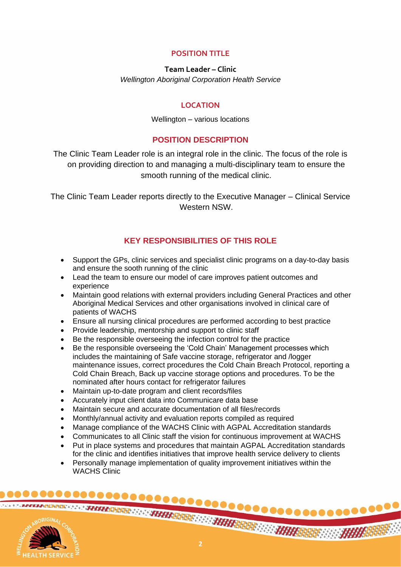## **POSITION TITLE**

## **Team Leader – Clinic** *Wellington Aboriginal Corporation Health Service*

## **LOCATION**

#### Wellington – various locations

## **POSITION DESCRIPTION**

The Clinic Team Leader role is an integral role in the clinic. The focus of the role is on providing direction to and managing a multi-disciplinary team to ensure the smooth running of the medical clinic.

The Clinic Team Leader reports directly to the Executive Manager – Clinical Service Western NSW.

## **KEY RESPONSIBILITIES OF THIS ROLE**

- Support the GPs, clinic services and specialist clinic programs on a day-to-day basis and ensure the sooth running of the clinic
- Lead the team to ensure our model of care improves patient outcomes and experience
- Maintain good relations with external providers including General Practices and other Aboriginal Medical Services and other organisations involved in clinical care of patients of WACHS
- Ensure all nursing clinical procedures are performed according to best practice
- Provide leadership, mentorship and support to clinic staff
- Be the responsible overseeing the infection control for the practice
- Be the responsible overseeing the 'Cold Chain' Management processes which includes the maintaining of Safe vaccine storage, refrigerator and /logger maintenance issues, correct procedures the Cold Chain Breach Protocol, reporting a Cold Chain Breach, Back up vaccine storage options and procedures. To be the nominated after hours contact for refrigerator failures
- Maintain up-to-date program and client records/files
- Accurately input client data into Communicare data base
- Maintain secure and accurate documentation of all files/records
- Monthly/annual activity and evaluation reports compiled as required
- Manage compliance of the WACHS Clinic with AGPAL Accreditation standards
- Communicates to all Clinic staff the vision for continuous improvement at WACHS
- Put in place systems and procedures that maintain AGPAL Accreditation standards for the clinic and identifies initiatives that improve health service delivery to clients
- Personally manage implementation of quality improvement initiatives within the WACHS Clinic

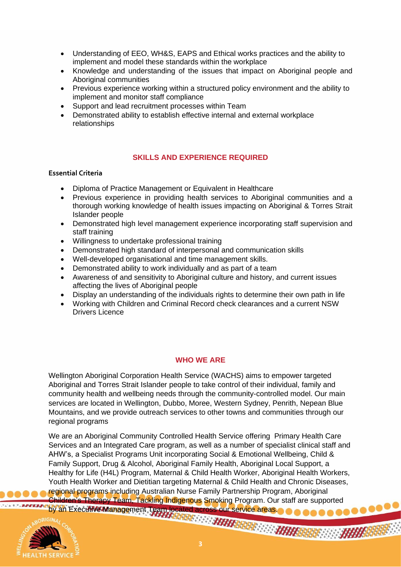- Understanding of EEO, WH&S, EAPS and Ethical works practices and the ability to implement and model these standards within the workplace
- Knowledge and understanding of the issues that impact on Aboriginal people and Aboriginal communities
- Previous experience working within a structured policy environment and the ability to implement and monitor staff compliance
- Support and lead recruitment processes within Team
- Demonstrated ability to establish effective internal and external workplace relationships

## **SKILLS AND EXPERIENCE REQUIRED**

#### **Essential Criteria**

- Diploma of Practice Management or Equivalent in Healthcare
- Previous experience in providing health services to Aboriginal communities and a thorough working knowledge of health issues impacting on Aboriginal & Torres Strait Islander people
- Demonstrated high level management experience incorporating staff supervision and staff training
- Willingness to undertake professional training
- Demonstrated high standard of interpersonal and communication skills
- Well-developed organisational and time management skills.
- Demonstrated ability to work individually and as part of a team
- Awareness of and sensitivity to Aboriginal culture and history, and current issues affecting the lives of Aboriginal people
- Display an understanding of the individuals rights to determine their own path in life
- Working with Children and Criminal Record check clearances and a current NSW Drivers Licence

#### **WHO WE ARE**

Wellington Aboriginal Corporation Health Service (WACHS) aims to empower targeted Aboriginal and Torres Strait Islander people to take control of their individual, family and community health and wellbeing needs through the community-controlled model. Our main services are located in Wellington, Dubbo, Moree, Western Sydney, Penrith, Nepean Blue Mountains, and we provide outreach services to other towns and communities through our regional programs

**3**<br>3<br>3 We are an Aboriginal Community Controlled Health Service offering Primary Health Care Services and an Integrated Care program, as well as a number of specialist clinical staff and AHW's, a Specialist Programs Unit incorporating Social & Emotional Wellbeing, Child & Family Support, Drug & Alcohol, Aboriginal Family Health, Aboriginal Local Support, a Healthy for Life (H4L) Program, Maternal & Child Health Worker, Aboriginal Health Workers, Youth Health Worker and Dietitian targeting Maternal & Child Health and Chronic Diseases, regional programs including Australian Nurse Family Partnership Program, Aboriginal Children's Therapy Team, Tackling Indigenous Smoking Program. Our staff are supported<br>by an Executive Management, Team located across our service areas. by an Executive Management Team located across our service areas.